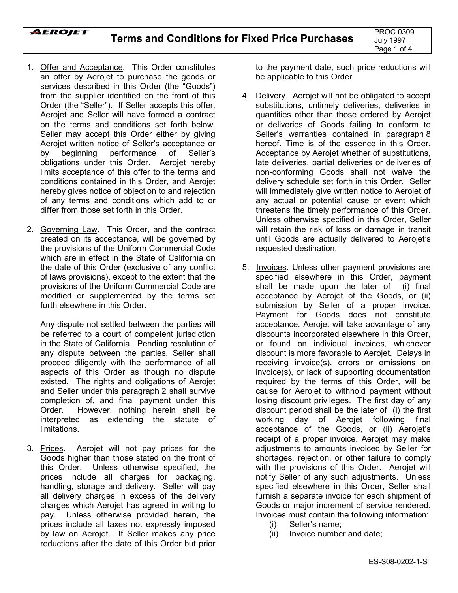- 1. Offer and Acceptance. This Order constitutes an offer by Aerojet to purchase the goods or services described in this Order (the "Goods") from the supplier identified on the front of this Order (the "Seller"). If Seller accepts this offer, Aerojet and Seller will have formed a contract on the terms and conditions set forth below. Seller may accept this Order either by giving Aerojet written notice of Seller's acceptance or by beginning performance of Seller's obligations under this Order. Aerojet hereby limits acceptance of this offer to the terms and conditions contained in this Order, and Aerojet hereby gives notice of objection to and rejection of any terms and conditions which add to or differ from those set forth in this Order.
- 2. Governing Law. This Order, and the contract created on its acceptance, will be governed by the provisions of the Uniform Commercial Code which are in effect in the State of California on the date of this Order (exclusive of any conflict of laws provisions), except to the extent that the provisions of the Uniform Commercial Code are modified or supplemented by the terms set forth elsewhere in this Order.

Any dispute not settled between the parties will be referred to a court of competent jurisdiction in the State of California. Pending resolution of any dispute between the parties, Seller shall proceed diligently with the performance of all aspects of this Order as though no dispute existed. The rights and obligations of Aerojet and Seller under this paragraph 2 shall survive completion of, and final payment under this Order. However, nothing herein shall be interpreted as extending the statute of limitations.

3. Prices. Aerojet will not pay prices for the Goods higher than those stated on the front of this Order. Unless otherwise specified, the prices include all charges for packaging, handling, storage and delivery. Seller will pay all delivery charges in excess of the delivery charges which Aerojet has agreed in writing to pay. Unless otherwise provided herein, the prices include all taxes not expressly imposed by law on Aerojet. If Seller makes any price reductions after the date of this Order but prior

to the payment date, such price reductions will be applicable to this Order.

- 4. Delivery. Aerojet will not be obligated to accept substitutions, untimely deliveries, deliveries in quantities other than those ordered by Aerojet or deliveries of Goods failing to conform to Seller's warranties contained in paragraph 8 hereof. Time is of the essence in this Order. Acceptance by Aerojet whether of substitutions, late deliveries, partial deliveries or deliveries of non-conforming Goods shall not waive the delivery schedule set forth in this Order. Seller will immediately give written notice to Aerojet of any actual or potential cause or event which threatens the timely performance of this Order. Unless otherwise specified in this Order, Seller will retain the risk of loss or damage in transit until Goods are actually delivered to Aerojet's requested destination.
- 5. Invoices. Unless other payment provisions are specified elsewhere in this Order, payment shall be made upon the later of (i) final acceptance by Aerojet of the Goods, or (ii) submission by Seller of a proper invoice. Payment for Goods does not constitute acceptance. Aerojet will take advantage of any discounts incorporated elsewhere in this Order, or found on individual invoices, whichever discount is more favorable to Aerojet. Delays in receiving invoice(s), errors or omissions on invoice(s), or lack of supporting documentation required by the terms of this Order, will be cause for Aerojet to withhold payment without losing discount privileges. The first day of any discount period shall be the later of (i) the first working day of Aerojet following final acceptance of the Goods, or (ii) Aerojet's receipt of a proper invoice. Aerojet may make adjustments to amounts invoiced by Seller for shortages, rejection, or other failure to comply with the provisions of this Order. Aerojet will notify Seller of any such adjustments. Unless specified elsewhere in this Order, Seller shall furnish a separate invoice for each shipment of Goods or major increment of service rendered. Invoices must contain the following information:
	- (i) Seller's name:
	- (ii) Invoice number and date;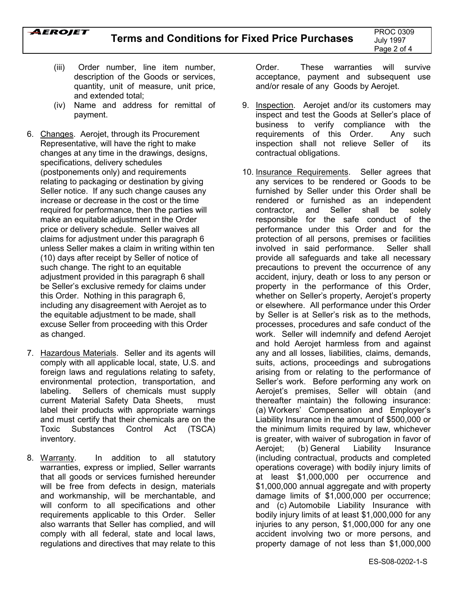

- (iii) Order number, line item number, description of the Goods or services, quantity, unit of measure, unit price, and extended total;
- (iv) Name and address for remittal of payment.
- 6. Changes. Aerojet, through its Procurement Representative, will have the right to make changes at any time in the drawings, designs, specifications, delivery schedules (postponements only) and requirements relating to packaging or destination by giving Seller notice. If any such change causes any increase or decrease in the cost or the time required for performance, then the parties will make an equitable adjustment in the Order price or delivery schedule. Seller waives all claims for adjustment under this paragraph 6 unless Seller makes a claim in writing within ten (10) days after receipt by Seller of notice of such change. The right to an equitable adjustment provided in this paragraph 6 shall be Seller's exclusive remedy for claims under this Order. Nothing in this paragraph 6, including any disagreement with Aerojet as to the equitable adjustment to be made, shall excuse Seller from proceeding with this Order as changed.
- 7. Hazardous Materials. Seller and its agents will comply with all applicable local, state, U.S. and foreign laws and regulations relating to safety, environmental protection, transportation, and labeling. Sellers of chemicals must supply current Material Safety Data Sheets, must label their products with appropriate warnings and must certify that their chemicals are on the Toxic Substances Control Act (TSCA) inventory.
- 8. Warranty. In addition to all statutory warranties, express or implied, Seller warrants that all goods or services furnished hereunder will be free from defects in design, materials and workmanship, will be merchantable, and will conform to all specifications and other requirements applicable to this Order. Seller also warrants that Seller has complied, and will comply with all federal, state and local laws, regulations and directives that may relate to this

Order. These warranties will survive acceptance, payment and subsequent use and/or resale of any Goods by Aerojet.

- 9. Inspection. Aerojet and/or its customers may inspect and test the Goods at Seller's place of business to verify compliance with the requirements of this Order. Any such inspection shall not relieve Seller of its contractual obligations.
- 10. Insurance Requirements. Seller agrees that any services to be rendered or Goods to be furnished by Seller under this Order shall be rendered or furnished as an independent contractor, and Seller shall be solely responsible for the safe conduct of the performance under this Order and for the protection of all persons, premises or facilities involved in said performance. Seller shall provide all safeguards and take all necessary precautions to prevent the occurrence of any accident, injury, death or loss to any person or property in the performance of this Order, whether on Seller's property, Aerojet's property or elsewhere. All performance under this Order by Seller is at Sellerís risk as to the methods, processes, procedures and safe conduct of the work. Seller will indemnify and defend Aerojet and hold Aerojet harmless from and against any and all losses, liabilities, claims, demands, suits, actions, proceedings and subrogations arising from or relating to the performance of Seller's work. Before performing any work on Aerojet's premises, Seller will obtain (and thereafter maintain) the following insurance: (a) Workers' Compensation and Employer's Liability Insurance in the amount of \$500,000 or the minimum limits required by law, whichever is greater, with waiver of subrogation in favor of Aerojet; (b) General Liability Insurance (including contractual, products and completed operations coverage) with bodily injury limits of at least \$1,000,000 per occurrence and \$1,000,000 annual aggregate and with property damage limits of \$1,000,000 per occurrence; and (c) Automobile Liability Insurance with bodily injury limits of at least \$1,000,000 for any injuries to any person, \$1,000,000 for any one accident involving two or more persons, and property damage of not less than \$1,000,000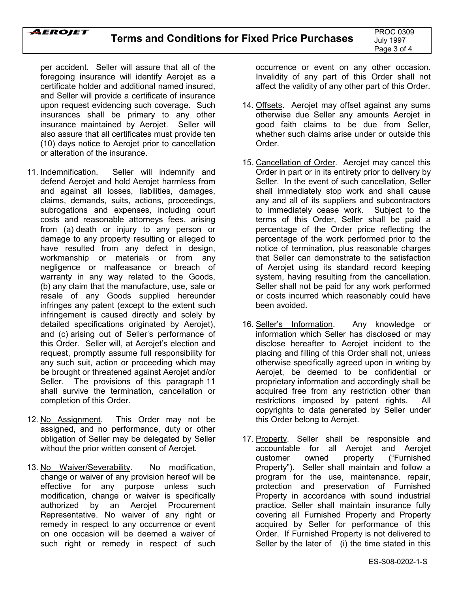

per accident. Seller will assure that all of the foregoing insurance will identify Aerojet as a certificate holder and additional named insured, and Seller will provide a certificate of insurance upon request evidencing such coverage. Such insurances shall be primary to any other insurance maintained by Aerojet. Seller will also assure that all certificates must provide ten (10) days notice to Aerojet prior to cancellation or alteration of the insurance.

- 11. Indemnification. Seller will indemnify and defend Aerojet and hold Aerojet harmless from and against all losses, liabilities, damages, claims, demands, suits, actions, proceedings, subrogations and expenses, including court costs and reasonable attorneys fees, arising from (a) death or injury to any person or damage to any property resulting or alleged to have resulted from any defect in design, workmanship or materials or from any negligence or malfeasance or breach of warranty in any way related to the Goods, (b) any claim that the manufacture, use, sale or resale of any Goods supplied hereunder infringes any patent (except to the extent such infringement is caused directly and solely by detailed specifications originated by Aerojet), and (c) arising out of Seller's performance of this Order. Seller will, at Aerojet's election and request, promptly assume full responsibility for any such suit, action or proceeding which may be brought or threatened against Aerojet and/or Seller. The provisions of this paragraph 11 shall survive the termination, cancellation or completion of this Order.
- 12. No Assignment. This Order may not be assigned, and no performance, duty or other obligation of Seller may be delegated by Seller without the prior written consent of Aerojet.
- 13. No Waiver/Severability. No modification, change or waiver of any provision hereof will be effective for any purpose unless such modification, change or waiver is specifically authorized by an Aerojet Procurement Representative. No waiver of any right or remedy in respect to any occurrence or event on one occasion will be deemed a waiver of such right or remedy in respect of such

occurrence or event on any other occasion. Invalidity of any part of this Order shall not affect the validity of any other part of this Order.

- 14. Offsets. Aerojet may offset against any sums otherwise due Seller any amounts Aerojet in good faith claims to be due from Seller, whether such claims arise under or outside this Order.
- 15. Cancellation of Order. Aerojet may cancel this Order in part or in its entirety prior to delivery by Seller. In the event of such cancellation, Seller shall immediately stop work and shall cause any and all of its suppliers and subcontractors to immediately cease work. Subject to the terms of this Order, Seller shall be paid a percentage of the Order price reflecting the percentage of the work performed prior to the notice of termination, plus reasonable charges that Seller can demonstrate to the satisfaction of Aerojet using its standard record keeping system, having resulting from the cancellation. Seller shall not be paid for any work performed or costs incurred which reasonably could have been avoided.
- 16. Seller's Information. Any knowledge or information which Seller has disclosed or may disclose hereafter to Aerojet incident to the placing and filling of this Order shall not, unless otherwise specifically agreed upon in writing by Aerojet, be deemed to be confidential or proprietary information and accordingly shall be acquired free from any restriction other than restrictions imposed by patent rights. All copyrights to data generated by Seller under this Order belong to Aerojet.
- 17. Property. Seller shall be responsible and accountable for all Aerojet and Aerojet customer owned property ("Furnished Property"). Seller shall maintain and follow a program for the use, maintenance, repair, protection and preservation of Furnished Property in accordance with sound industrial practice. Seller shall maintain insurance fully covering all Furnished Property and Property acquired by Seller for performance of this Order. If Furnished Property is not delivered to Seller by the later of (i) the time stated in this